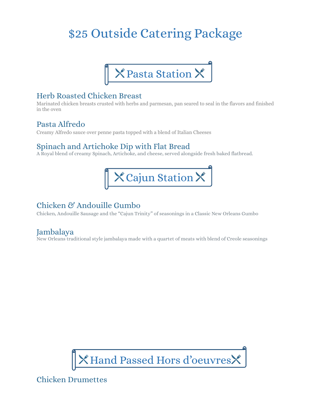# \$25 Outside Catering Package



## Herb Roasted Chicken Breast

Marinated chicken breasts crusted with herbs and parmesan, pan seared to seal in the flavors and finished in the oven

## Pasta Alfredo

Creamy Alfredo sauce over penne pasta topped with a blend of Italian Cheeses

# Spinach and Artichoke Dip with Flat Bread

A Royal blend of creamy Spinach, Artichoke, and cheese, served alongside fresh baked flatbread.



# Chicken & Andouille Gumbo

Chicken, Andouille Sausage and the "Cajun Trinity" of seasonings in a Classic New Orleans Gumbo

## Jambalaya

New Orleans traditional style jambalaya made with a quartet of meats with blend of Creole seasonings



Chicken Drumettes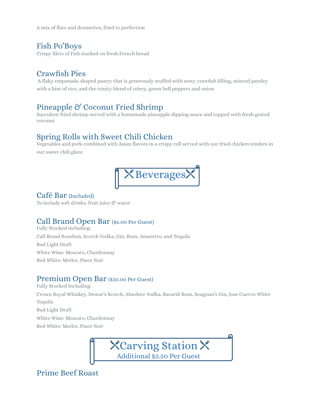A mix of flats and drumettes, fried to perfection

### Fish Po'Boys

Crispy filets of Fish stacked on fresh French bread

# Crawfish Pies

A flaky empanada-shaped pastry that is generously stuffed with zesty crawfish filling, minced parsley with a hint of rice, and the trinity blend of celery, green bell peppers and onion

# Pineapple & Coconut Fried Shrimp

Succulent fried shrimp served with a homemade pineapple dipping sauce and topped with fresh grated coconut

# Spring Rolls with Sweet Chili Chicken

Vegetables and pork combined with Asian flavors in a crispy roll served with our fried chicken tenders in our sweet chili glaze



### Café Bar (Included)

To include soft drinks, fruit juice  $\mathfrak G$  water

### Call Brand Open Bar (\$6.00 Per Guest)

Fully Stocked including: Call Brand Bourbon, Scotch Vodka, Gin, Rum, Amaretto, and Tequila Bud Light Draft White Wine: Moscato, Chardonnay Red White: Merlot, Pinot Noir

### Premium Open Bar (\$10.00 Per Guest)

Fully Stocked Including: Crown Royal Whiskey, Dewar's Scotch, Absolute Vodka, Bacardi Rum, Seagram's Gin, Jose Cuervo White Tequila Bud Light Draft White Wine: Moscato, Chardonnay Red White: Merlot, Pinot Noir



# Prime Beef Roast